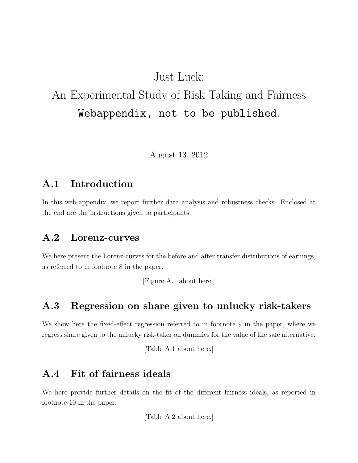## Just Luck:

# An Experimental Study of Risk Taking and Fairness Webappendix, not to be published.

August 13, 2012

### A.1 Introduction

In this web-appendix, we report further data analysis and robustness checks. Enclosed at the end are the instructions given to participants.

### A.2 Lorenz-curves

We here present the Lorenz-curves for the before and after transfer distributions of earnings, as referred to in footnote 8 in the paper.

[Figure A.1 about here.]

### A.3 Regression on share given to unlucky risk-takers

We show here the fixed-effect regression referred to in footnote 9 in the paper, where we regress share given to the unlucky risk-taker on dummies for the value of the safe alternative.

[Table A.1 about here.]

### A.4 Fit of fairness ideals

We here provide further details on the fit of the different fairness ideals, as reported in footnote 10 in the paper.

[Table A.2 about here.]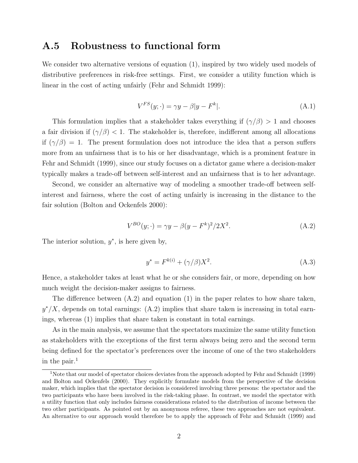### A.5 Robustness to functional form

We consider two alternative versions of equation (1), inspired by two widely used models of distributive preferences in risk-free settings. First, we consider a utility function which is linear in the cost of acting unfairly (Fehr and Schmidt 1999):

$$
V^{FS}(y; \cdot) = \gamma y - \beta |y - F^k|.
$$
\n(A.1)

This formulation implies that a stakeholder takes everything if  $(\gamma/\beta) > 1$  and chooses a fair division if  $(\gamma/\beta)$  < 1. The stakeholder is, therefore, indifferent among all allocations if  $(\gamma/\beta) = 1$ . The present formulation does not introduce the idea that a person suffers more from an unfairness that is to his or her disadvantage, which is a prominent feature in Fehr and Schmidt (1999), since our study focuses on a dictator game where a decision-maker typically makes a trade-off between self-interest and an unfairness that is to her advantage.

Second, we consider an alternative way of modeling a smoother trade-off between selfinterest and fairness, where the cost of acting unfairly is increasing in the distance to the fair solution (Bolton and Ockenfels 2000):

$$
V^{BO}(y; \cdot) = \gamma y - \beta (y - F^k)^2 / 2X^2.
$$
 (A.2)

The interior solution,  $y^*$ , is here given by,

$$
y^* = F^{k(i)} + (\gamma/\beta)X^2.
$$
 (A.3)

Hence, a stakeholder takes at least what he or she considers fair, or more, depending on how much weight the decision-maker assigns to fairness.

The difference between (A.2) and equation (1) in the paper relates to how share taken,  $y^*/X$ , depends on total earnings: (A.2) implies that share taken is increasing in total earnings, whereas (1) implies that share taken is constant in total earnings.

As in the main analysis, we assume that the spectators maximize the same utility function as stakeholders with the exceptions of the first term always being zero and the second term being defined for the spectator's preferences over the income of one of the two stakeholders in the pair. $<sup>1</sup>$ </sup>

<sup>&</sup>lt;sup>1</sup>Note that our model of spectator choices deviates from the approach adopted by Fehr and Schmidt (1999) and Bolton and Ockenfels (2000). They explicitly formulate models from the perspective of the decision maker, which implies that the spectator decision is considered involving three persons: the spectator and the two participants who have been involved in the risk-taking phase. In contrast, we model the spectator with a utility function that only includes fairness considerations related to the distribution of income between the two other participants. As pointed out by an anonymous referee, these two approaches are not equivalent. An alternative to our approach would therefore be to apply the approach of Fehr and Schmidt (1999) and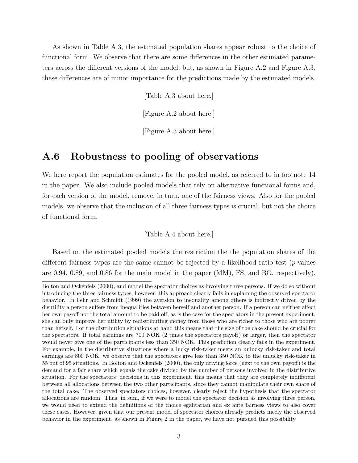As shown in Table A.3, the estimated population shares appear robust to the choice of functional form. We observe that there are some differences in the other estimated parameters across the different versions of the model, but, as shown in Figure A.2 and Figure A.3, these differences are of minor importance for the predictions made by the estimated models.

[Table A.3 about here.]

[Figure A.2 about here.]

[Figure A.3 about here.]

### A.6 Robustness to pooling of observations

We here report the population estimates for the pooled model, as referred to in footnote 14 in the paper. We also include pooled models that rely on alternative functional forms and, for each version of the model, remove, in turn, one of the fairness views. Also for the pooled models, we observe that the inclusion of all three fairness types is crucial, but not the choice of functional form.

[Table A.4 about here.]

Based on the estimated pooled models the restriction the the population shares of the different fairness types are the same cannot be rejected by a likelihood ratio test ( $p$ -values are 0.94, 0.89, and 0.86 for the main model in the paper (MM), FS, and BO, respectively).

Bolton and Ockenfels (2000), and model the spectator choices as involving three persons. If we do so without introducing the three fairness types, however, this approach clearly fails in explaining the observed spectator behavior. In Fehr and Schmidt (1999) the aversion to inequality among others is indirectly driven by the disutility a person suffers from inequalities between herself and another person. If a person can neither affect her own payoff nor the total amount to be paid off, as is the case for the spectators in the present experiment, she can only improve her utility by redistributing money from those who are richer to those who are poorer than herself. For the distribution situations at hand this means that the size of the cake should be crucial for the spectators. If total earnings are 700 NOK (2 times the spectators payoff) or larger, then the spectator would never give one of the participants less than 350 NOK. This prediction clearly fails in the experiment. For example, in the distributive situations where a lucky risk-taker meets an unlucky risk-taker and total earnings are 800 NOK, we observe that the spectators give less than 350 NOK to the unlucky risk-taker in 55 out of 95 situations. In Bolton and Ockenfels (2000), the only driving force (next to the own payoff) is the demand for a fair share which equals the cake divided by the number of persons involved in the distributive situation. For the spectators' decisions in this experiment, this means that they are completely indifferent between all allocations between the two other participants, since they cannot manipulate their own share of the total cake. The observed spectators choices, however, clearly reject the hypothesis that the spectator allocations are random. Thus, in sum, if we were to model the spectator decision as involving three person, we would need to extend the definitions of the choice egalitarian and ex ante fairness views to also cover these cases. However, given that our present model of spectator choices already predicts nicely the observed behavior in the experiment, as shown in Figure 2 in the paper, we have not pursued this possibility.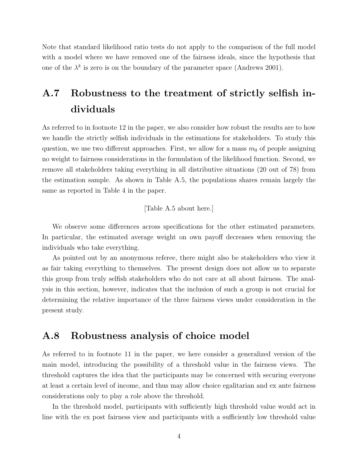Note that standard likelihood ratio tests do not apply to the comparison of the full model with a model where we have removed one of the fairness ideals, since the hypothesis that one of the  $\lambda^k$  is zero is on the boundary of the parameter space (Andrews 2001).

# A.7 Robustness to the treatment of strictly selfish individuals

As referred to in footnote 12 in the paper, we also consider how robust the results are to how we handle the strictly selfish individuals in the estimations for stakeholders. To study this question, we use two different approaches. First, we allow for a mass  $m_0$  of people assigning no weight to fairness considerations in the formulation of the likelihood function. Second, we remove all stakeholders taking everything in all distributive situations (20 out of 78) from the estimation sample. As shown in Table A.5, the populations shares remain largely the same as reported in Table 4 in the paper.

[Table A.5 about here.]

We observe some differences across specifications for the other estimated parameters. In particular, the estimated average weight on own payoff decreases when removing the individuals who take everything.

As pointed out by an anonymous referee, there might also be stakeholders who view it as fair taking everything to themselves. The present design does not allow us to separate this group from truly selfish stakeholders who do not care at all about fairness. The analysis in this section, however, indicates that the inclusion of such a group is not crucial for determining the relative importance of the three fairness views under consideration in the present study.

### A.8 Robustness analysis of choice model

As referred to in footnote 11 in the paper, we here consider a generalized version of the main model, introducing the possibility of a threshold value in the fairness views. The threshold captures the idea that the participants may be concerned with securing everyone at least a certain level of income, and thus may allow choice egalitarian and ex ante fairness considerations only to play a role above the threshold.

In the threshold model, participants with sufficiently high threshold value would act in line with the ex post fairness view and participants with a sufficiently low threshold value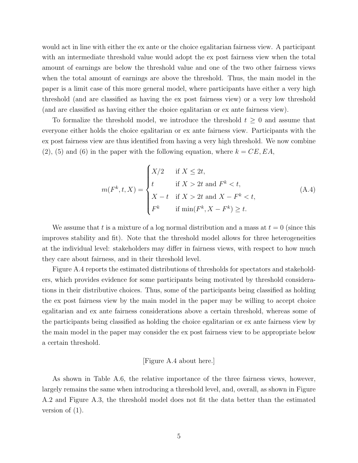would act in line with either the ex ante or the choice egalitarian fairness view. A participant with an intermediate threshold value would adopt the ex post fairness view when the total amount of earnings are below the threshold value and one of the two other fairness views when the total amount of earnings are above the threshold. Thus, the main model in the paper is a limit case of this more general model, where participants have either a very high threshold (and are classified as having the ex post fairness view) or a very low threshold (and are classified as having either the choice egalitarian or ex ante fairness view).

To formalize the threshold model, we introduce the threshold  $t \geq 0$  and assume that everyone either holds the choice egalitarian or ex ante fairness view. Participants with the ex post fairness view are thus identified from having a very high threshold. We now combine  $(2)$ ,  $(5)$  and  $(6)$  in the paper with the following equation, where  $k = CE, EA$ ,

$$
m(F^k, t, X) = \begin{cases} X/2 & \text{if } X \le 2t, \\ t & \text{if } X > 2t \text{ and } F^k < t, \\ X - t & \text{if } X > 2t \text{ and } X - F^k < t, \\ F^k & \text{if } \min(F^k, X - F^k) \ge t. \end{cases} \tag{A.4}
$$

We assume that t is a mixture of a log normal distribution and a mass at  $t = 0$  (since this improves stability and fit). Note that the threshold model allows for three heterogeneities at the individual level: stakeholders may differ in fairness views, with respect to how much they care about fairness, and in their threshold level.

Figure A.4 reports the estimated distributions of thresholds for spectators and stakeholders, which provides evidence for some participants being motivated by threshold considerations in their distributive choices. Thus, some of the participants being classified as holding the ex post fairness view by the main model in the paper may be willing to accept choice egalitarian and ex ante fairness considerations above a certain threshold, whereas some of the participants being classified as holding the choice egalitarian or ex ante fairness view by the main model in the paper may consider the ex post fairness view to be appropriate below a certain threshold.

#### [Figure A.4 about here.]

As shown in Table A.6, the relative importance of the three fairness views, however, largely remains the same when introducing a threshold level, and, overall, as shown in Figure A.2 and Figure A.3, the threshold model does not fit the data better than the estimated version of (1).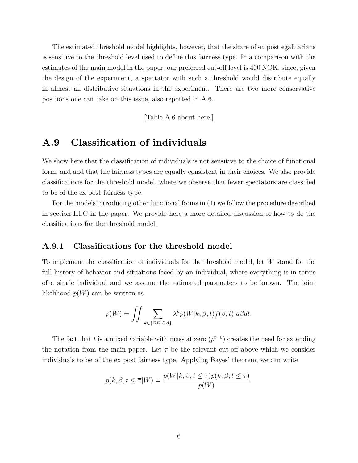The estimated threshold model highlights, however, that the share of ex post egalitarians is sensitive to the threshold level used to define this fairness type. In a comparison with the estimates of the main model in the paper, our preferred cut-off level is 400 NOK, since, given the design of the experiment, a spectator with such a threshold would distribute equally in almost all distributive situations in the experiment. There are two more conservative positions one can take on this issue, also reported in A.6.

[Table A.6 about here.]

### A.9 Classification of individuals

We show here that the classification of individuals is not sensitive to the choice of functional form, and and that the fairness types are equally consistent in their choices. We also provide classifications for the threshold model, where we observe that fewer spectators are classified to be of the ex post fairness type.

For the models introducing other functional forms in (1) we follow the procedure described in section III.C in the paper. We provide here a more detailed discussion of how to do the classifications for the threshold model.

#### A.9.1 Classifications for the threshold model

To implement the classification of individuals for the threshold model, let W stand for the full history of behavior and situations faced by an individual, where everything is in terms of a single individual and we assume the estimated parameters to be known. The joint likelihood  $p(W)$  can be written as

$$
p(W) = \iint \sum_{k \in \{CE, EA\}} \lambda^k p(W|k, \beta, t) f(\beta, t) \ d\beta dt.
$$

The fact that t is a mixed variable with mass at zero  $(p^{t=0})$  creates the need for extending the notation from the main paper. Let  $\bar{\tau}$  be the relevant cut-off above which we consider individuals to be of the ex post fairness type. Applying Bayes' theorem, we can write

$$
p(k, \beta, t \leq \overline{\tau}|W) = \frac{p(W|k, \beta, t \leq \overline{\tau})p(k, \beta, t \leq \overline{\tau})}{p(W)}.
$$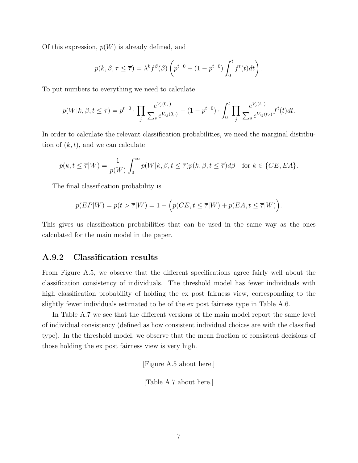Of this expression,  $p(W)$  is already defined, and

$$
p(k, \beta, \tau \leq \overline{\tau}) = \lambda^k f^{\beta}(\beta) \left( p^{t=0} + (1 - p^{t=0}) \int_0^t f^t(t) dt \right).
$$

To put numbers to everything we need to calculate

$$
p(W|k, \beta, t \leq \overline{\tau}) = p^{t=0} \cdot \prod_{j} \frac{e^{V_j(0, \cdot)}}{\sum_{s} e^{V_{sj}(0, \cdot)}} + (1 - p^{t=0}) \cdot \int_0^t \prod_{j} \frac{e^{V_j(t, \cdot)}}{\sum_{s} e^{V_{sj}(t, \cdot)}} f^t(t) dt.
$$

In order to calculate the relevant classification probabilities, we need the marginal distribution of  $(k, t)$ , and we can calculate

$$
p(k, t \le \overline{\tau}|W) = \frac{1}{p(W)} \int_0^\infty p(W|k, \beta, t \le \overline{\tau}) p(k, \beta, t \le \overline{\tau}) d\beta \quad \text{for } k \in \{CE, EA\}.
$$

The final classification probability is

$$
p(EP|W) = p(t > \overline{\tau}|W) = 1 - \left(p(CE, t \le \overline{\tau}|W) + p(EA, t \le \overline{\tau}|W)\right).
$$

This gives us classification probabilities that can be used in the same way as the ones calculated for the main model in the paper.

#### A.9.2 Classification results

From Figure A.5, we observe that the different specifications agree fairly well about the classification consistency of individuals. The threshold model has fewer individuals with high classification probability of holding the ex post fairness view, corresponding to the slightly fewer individuals estimated to be of the ex post fairness type in Table A.6.

In Table A.7 we see that the different versions of the main model report the same level of individual consistency (defined as how consistent individual choices are with the classified type). In the threshold model, we observe that the mean fraction of consistent decisions of those holding the ex post fairness view is very high.

[Figure A.5 about here.]

[Table A.7 about here.]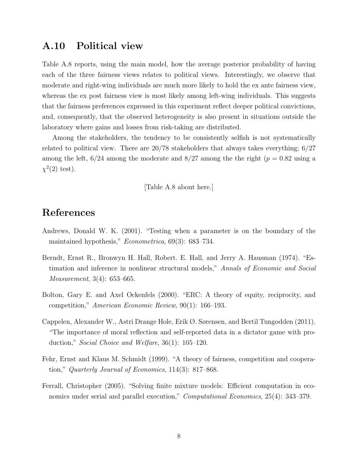### A.10 Political view

Table A.8 reports, using the main model, how the average posterior probability of having each of the three fairness views relates to political views. Interestingly, we observe that moderate and right-wing individuals are much more likely to hold the ex ante fairness view, whereas the ex post fairness view is most likely among left-wing individuals. This suggests that the fairness preferences expressed in this experiment reflect deeper political convictions, and, consequently, that the observed heterogeneity is also present in situations outside the laboratory where gains and losses from risk-taking are distributed.

Among the stakeholders, the tendency to be consistently selfish is not systematically related to political view. There are 20/78 stakeholders that always takes everything; 6/27 among the left,  $6/24$  among the moderate and  $8/27$  among the the right  $(p = 0.82$  using a  $\chi^2(2)$  test).

[Table A.8 about here.]

### References

- Andrews, Donald W. K. (2001). "Testing when a parameter is on the boundary of the maintained hypothesis," Econometrica, 69(3): 683–734.
- Berndt, Ernst R., Bronwyn H. Hall, Robert. E. Hall, and Jerry A. Hausman (1974). "Estimation and inference in nonlinear structural models," Annals of Economic and Social Measurement, 3(4): 653–665.
- Bolton, Gary E. and Axel Ockenfels (2000). "ERC: A theory of equity, reciprocity, and competition," American Economic Review, 90(1): 166–193.
- Cappelen, Alexander W., Astri Drange Hole, Erik Ø. Sørensen, and Bertil Tungodden (2011). "The importance of moral reflection and self-reported data in a dictator game with production," Social Choice and Welfare, 36(1): 105–120.
- Fehr, Ernst and Klaus M. Schmidt (1999). "A theory of fairness, competition and cooperation," Quarterly Journal of Economics, 114(3): 817–868.
- Ferrall, Christopher (2005). "Solving finite mixture models: Efficient computation in economics under serial and parallel execution," Computational Economics, 25(4): 343–379.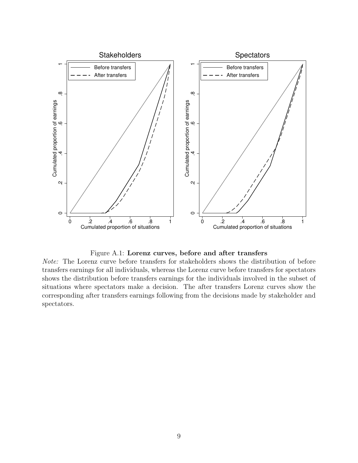

Figure A.1: Lorenz curves, before and after transfers

Note: The Lorenz curve before transfers for stakeholders shows the distribution of before transfers earnings for all individuals, whereas the Lorenz curve before transfers for spectators shows the distribution before transfers earnings for the individuals involved in the subset of situations where spectators make a decision. The after transfers Lorenz curves show the corresponding after transfers earnings following from the decisions made by stakeholder and spectators.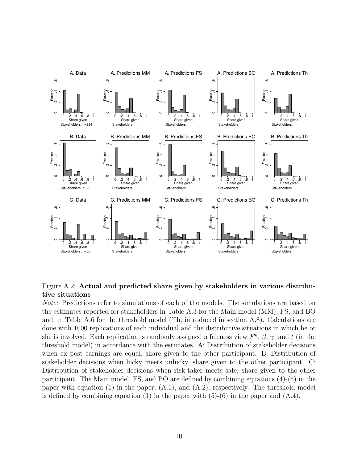

#### Figure A.2: Actual and predicted share given by stakeholders in various distributive situations

Note: Predictions refer to simulations of each of the models. The simulations are based on the estimates reported for stakeholders in Table A.3 for the Main model (MM), FS, and BO and, in Table A.6 for the threshold model (Th, introduced in section A.8). Calculations are done with 1000 replications of each individual and the distributive situations in which he or she is involved. Each replication is randomly assigned a fairness view  $F^k$ ,  $\beta$ ,  $\gamma$ , and t (in the threshold model) in accordance with the estimates. A: Distribution of stakeholder decisions when ex post earnings are equal, share given to the other participant. B: Distribution of stakeholder decisions when lucky meets unlucky, share given to the other participant. C: Distribution of stakeholder decisions when risk-taker meets safe, share given to the other participant. The Main model, FS, and BO are defined by combining equations (4)-(6) in the paper with equation  $(1)$  in the paper,  $(A.1)$ , and  $(A.2)$ , respectively. The threshold model is defined by combining equation  $(1)$  in the paper with  $(5)-(6)$  in the paper and  $(A.4)$ .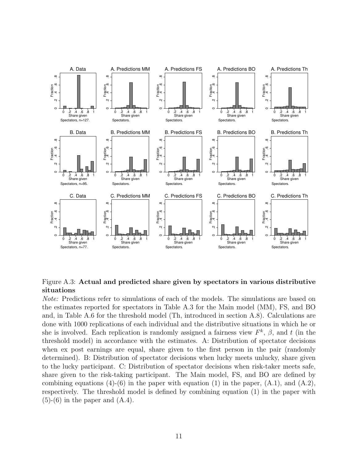

Figure A.3: Actual and predicted share given by spectators in various distributive situations

Note: Predictions refer to simulations of each of the models. The simulations are based on the estimates reported for spectators in Table A.3 for the Main model (MM), FS, and BO and, in Table A.6 for the threshold model (Th, introduced in section A.8). Calculations are done with 1000 replications of each individual and the distributive situations in which he or she is involved. Each replication is randomly assigned a fairness view  $F^k$ ,  $\beta$ , and t (in the threshold model) in accordance with the estimates. A: Distribution of spectator decisions when ex post earnings are equal, share given to the first person in the pair (randomly determined). B: Distribution of spectator decisions when lucky meets unlucky, share given to the lucky participant. C: Distribution of spectator decisions when risk-taker meets safe, share given to the risk-taking participant. The Main model, FS, and BO are defined by combining equations  $(4)-(6)$  in the paper with equation (1) in the paper,  $(A.1)$ , and  $(A.2)$ , respectively. The threshold model is defined by combining equation (1) in the paper with  $(5)-(6)$  in the paper and  $(A.4)$ .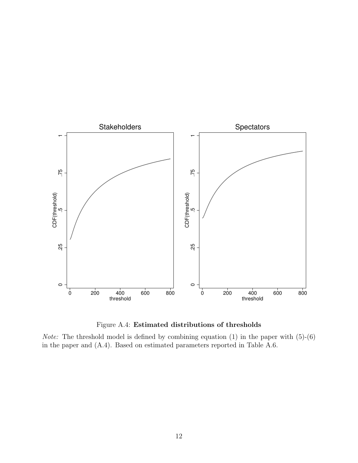

Figure A.4: Estimated distributions of thresholds

*Note:* The threshold model is defined by combining equation  $(1)$  in the paper with  $(5)-(6)$ in the paper and (A.4). Based on estimated parameters reported in Table A.6.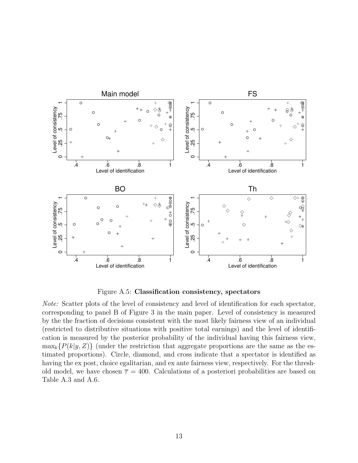

Figure A.5: Classification consistency, spectators

Note: Scatter plots of the level of consistency and level of identification for each spectator, corresponding to panel B of Figure 3 in the main paper. Level of consistency is measured by the the fraction of decisions consistent with the most likely fairness view of an individual (restricted to distributive situations with positive total earnings) and the level of identification is measured by the posterior probability of the individual having this fairness view,  $\max_k {P(k|y, Z)}$  (under the restriction that aggregate proportions are the same as the estimated proportions). Circle, diamond, and cross indicate that a spectator is identified as having the ex post, choice egalitarian, and ex ante fairness view, respectively. For the threshold model, we have chosen  $\bar{\tau} = 400$ . Calculations of a posteriori probabilities are based on Table A.3 and A.6.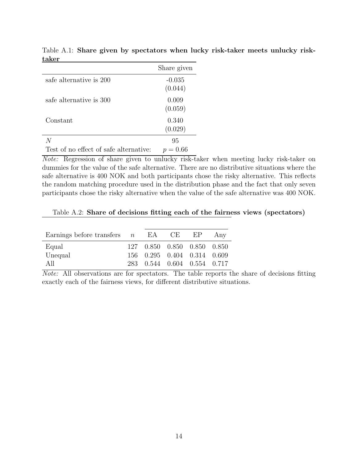| vans                                   |                     |
|----------------------------------------|---------------------|
|                                        | Share given         |
| safe alternative is 200                | $-0.035$<br>(0.044) |
| safe alternative is 300                | 0.009<br>(0.059)    |
| Constant                               | 0.340<br>(0.029)    |
| N                                      | 95                  |
| Test of no effect of safe alternative: | $p = 0.66$          |

Table A.1: Share given by spectators when lucky risk-taker meets unlucky risktaker

Note: Regression of share given to unlucky risk-taker when meeting lucky risk-taker on dummies for the value of the safe alternative. There are no distributive situations where the safe alternative is 400 NOK and both participants chose the risky alternative. This reflects the random matching procedure used in the distribution phase and the fact that only seven participants chose the risky alternative when the value of the safe alternative was 400 NOK.

Table A.2: Share of decisions fitting each of the fairness views (spectators)

| Earnings before transfers $n$ EA CE EP |                                                            |  | Any |
|----------------------------------------|------------------------------------------------------------|--|-----|
| Equal                                  | 127 0.850 0.850 0.850 0.850                                |  |     |
| Unequal<br>AII                         | 156 0.295 0.404 0.314 0.609<br>283 0.544 0.604 0.554 0.717 |  |     |

Note: All observations are for spectators. The table reports the share of decisions fitting exactly each of the fairness views, for different distributive situations.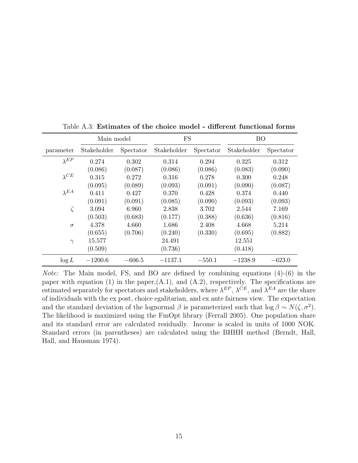|                | Main model  |           | FS<br><b>BO</b> |           |             |           |
|----------------|-------------|-----------|-----------------|-----------|-------------|-----------|
| parameter      | Stakeholder | Spectator | Stakeholder     | Spectator | Stakeholder | Spectator |
| $\lambda^{EP}$ | 0.274       | 0.302     | 0.314           | 0.294     | 0.325       | 0.312     |
|                | (0.086)     | (0.087)   | (0.086)         | (0.086)   | (0.083)     | (0.090)   |
| $\lambda^{CE}$ | 0.315       | 0.272     | 0.316           | 0.278     | 0.300       | 0.248     |
|                | (0.095)     | (0.089)   | (0.093)         | (0.091)   | (0.090)     | (0.087)   |
| $\lambda^{EA}$ | 0.411       | 0.427     | 0.370           | 0.428     | 0.374       | 0.440     |
|                | (0.091)     | (0.091)   | (0.085)         | (0.090)   | (0.093)     | (0.093)   |
| $\zeta$        | 3.094       | 6.960     | 2.838           | 3.702     | 2.544       | 7.169     |
|                | (0.503)     | (0.683)   | (0.177)         | (0.388)   | (0.636)     | (0.816)   |
| $\sigma$       | 4.378       | 4.660     | 1.686           | 2.408     | 4.668       | 5.214     |
|                | (0.655)     | (0.706)   | (0.240)         | (0.330)   | (0.695)     | (0.882)   |
| $\gamma$       | 15.577      |           | 24.491          |           | 12.551      |           |
|                | (0.509)     |           | (0.736)         |           | (0.418)     |           |
| $\log L$       | $-1200.6$   | $-606.5$  | $-1137.1$       | $-550.1$  | $-1238.9$   | $-623.0$  |

Table A.3: Estimates of the choice model - different functional forms

Note: The Main model, FS, and BO are defined by combining equations (4)-(6) in the paper with equation (1) in the paper,(A.1), and (A.2), respectively. The specifications are estimated separately for spectators and stakeholders, where  $\lambda^{EP}$ ,  $\lambda^{CE}$ , and  $\lambda^{EA}$  are the share of individuals with the ex post, choice egalitarian, and ex ante fairness view. The expectation and the standard deviation of the lognormal  $\beta$  is parameterized such that  $\log \beta \sim N(\zeta, \sigma^2)$ . The likelihood is maximized using the FmOpt library (Ferrall 2005). One population share and its standard error are calculated residually. Income is scaled in units of 1000 NOK. Standard errors (in parentheses) are calculated using the BHHH method (Berndt, Hall, Hall, and Hausman 1974).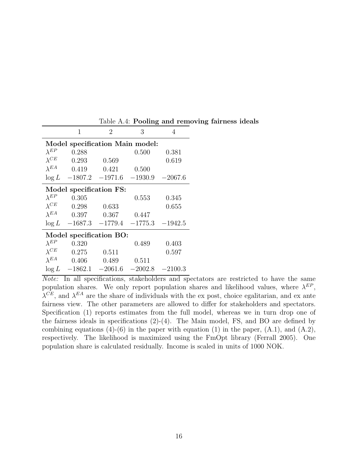|                         | 1                               | 2                   | 3         | 4         |  |  |  |
|-------------------------|---------------------------------|---------------------|-----------|-----------|--|--|--|
|                         | Model specification Main model: |                     |           |           |  |  |  |
| $\lambda^{EP}$          | 0.288                           |                     | 0.500     | 0.381     |  |  |  |
| $\lambda^{CE}$          | 0.293                           | 0.569               |           | 0.619     |  |  |  |
| $\lambda^{EA}$          | 0.419                           | 0.421               | 0.500     |           |  |  |  |
| $\log L$                |                                 | $-1807.2$ $-1971.6$ | $-1930.9$ | $-2067.6$ |  |  |  |
| Model specification FS: |                                 |                     |           |           |  |  |  |
| $\lambda^{EP}$          | 0.305                           |                     | 0.553     | 0.345     |  |  |  |
| $\lambda^{CE}$          | 0.298                           | 0.633               |           | 0.655     |  |  |  |
| $\lambda$ <i>EA</i>     | 0.397                           | 0.367               | 0.447     |           |  |  |  |
| $\log L$                |                                 | $-1687.3$ $-1779.4$ | $-1775.3$ | $-1942.5$ |  |  |  |
| Model specification BO: |                                 |                     |           |           |  |  |  |
| $\lambda^{EP}$          | 0.320                           |                     | 0.489     | 0.403     |  |  |  |
| $\lambda^{CE}$          | 0.275                           | 0.511               |           | 0.597     |  |  |  |
| $\lambda^{EA}$          | 0.406                           | 0.489               | 0.511     |           |  |  |  |
| $\log L$                |                                 | $-1862.1$ $-2061.6$ | $-2002.8$ | $-2100.3$ |  |  |  |

Table A.4: Pooling and removing fairness ideals

Note: In all specifications, stakeholders and spectators are restricted to have the same population shares. We only report population shares and likelihood values, where  $\lambda^{EP}$ ,  $\lambda^{CE}$ , and  $\lambda^{EA}$  are the share of individuals with the ex post, choice egalitarian, and ex ante fairness view. The other parameters are allowed to differ for stakeholders and spectators. Specification (1) reports estimates from the full model, whereas we in turn drop one of the fairness ideals in specifications  $(2)-(4)$ . The Main model, FS, and BO are defined by combining equations  $(4)-(6)$  in the paper with equation  $(1)$  in the paper,  $(A.1)$ , and  $(A.2)$ , respectively. The likelihood is maximized using the FmOpt library (Ferrall 2005). One population share is calculated residually. Income is scaled in units of 1000 NOK.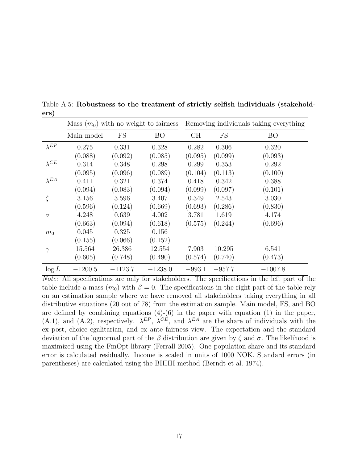|                | Mass $(m_0)$ with no weight to fairness |           |           |          |          | Removing individuals taking everything |
|----------------|-----------------------------------------|-----------|-----------|----------|----------|----------------------------------------|
|                | Main model                              | <b>FS</b> | <b>BO</b> | CH       | FS       | <b>BO</b>                              |
| $\lambda^{EP}$ | 0.275                                   | 0.331     | 0.328     | 0.282    | 0.306    | 0.320                                  |
|                | (0.088)                                 | (0.092)   | (0.085)   | (0.095)  | (0.099)  | (0.093)                                |
| $\lambda^{CE}$ | 0.314                                   | 0.348     | 0.298     | 0.299    | 0.353    | 0.292                                  |
|                | (0.095)                                 | (0.096)   | (0.089)   | (0.104)  | (0.113)  | (0.100)                                |
| $\lambda^{EA}$ | 0.411                                   | 0.321     | 0.374     | 0.418    | 0.342    | 0.388                                  |
|                | (0.094)                                 | (0.083)   | (0.094)   | (0.099)  | (0.097)  | (0.101)                                |
|                | 3.156                                   | 3.596     | 3.407     | 0.349    | 2.543    | 3.030                                  |
|                | (0.596)                                 | (0.124)   | (0.669)   | (0.693)  | (0.286)  | (0.830)                                |
| $\sigma$       | 4.248                                   | 0.639     | 4.002     | 3.781    | 1.619    | 4.174                                  |
|                | (0.663)                                 | (0.094)   | (0.618)   | (0.575)  | (0.244)  | (0.696)                                |
| $m_0$          | 0.045                                   | 0.325     | 0.156     |          |          |                                        |
|                | (0.155)                                 | (0.066)   | (0.152)   |          |          |                                        |
| $\gamma$       | 15.564                                  | 26.386    | 12.554    | 7.903    | 10.295   | 6.541                                  |
|                | (0.605)                                 | (0.748)   | (0.490)   | (0.574)  | (0.740)  | (0.473)                                |
| $\log L$       | $-1200.5$                               | $-1123.7$ | $-1238.0$ | $-993.1$ | $-957.7$ | $-1007.8$                              |

Table A.5: Robustness to the treatment of strictly selfish individuals (stakeholders)

Note: All specifications are only for stakeholders. The specifications in the left part of the table include a mass  $(m_0)$  with  $\beta = 0$ . The specifications in the right part of the table rely on an estimation sample where we have removed all stakeholders taking everything in all distributive situations (20 out of 78) from the estimation sample. Main model, FS, and BO are defined by combining equations  $(4)-(6)$  in the paper with equation  $(1)$  in the paper, (A.1), and (A.2), respectively.  $\lambda^{EP}$ ,  $\lambda^{CE}$ , and  $\lambda^{EA}$  are the share of individuals with the ex post, choice egalitarian, and ex ante fairness view. The expectation and the standard deviation of the lognormal part of the  $\beta$  distribution are given by  $\zeta$  and  $\sigma$ . The likelihood is maximized using the FmOpt library (Ferrall 2005). One population share and its standard error is calculated residually. Income is scaled in units of 1000 NOK. Standard errors (in parentheses) are calculated using the BHHH method (Berndt et al. 1974).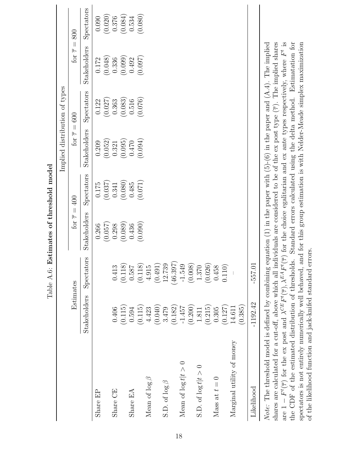|                           |                     |            |                           |            | Implied distribution of types |            |                             |                               |
|---------------------------|---------------------|------------|---------------------------|------------|-------------------------------|------------|-----------------------------|-------------------------------|
|                           | Estimates           |            | for $\overline{\tau}=400$ |            | for $\overline{\tau}=600$     |            | for $\overline{\tau} = 800$ |                               |
|                           | <b>Stakeholders</b> | Spectators | Stakeholders              | Spectators | <b>Stakeholders</b>           | Spectators | Stakeholders                | Spectators                    |
| Share EP                  |                     |            | 0.266                     | 0.175      | 0.209                         | 0.122      | 0.172                       | 0.090                         |
|                           |                     |            | (0.057)                   | (0.037)    | (0.052)                       | (0.027)    | (0.048)                     |                               |
| Share CE                  | 0.406               | 0.413      | 0.298                     | 0.341      | 0.321                         | 0.363      | 0.336                       | $\left( 0.020\right)$ $0.376$ |
|                           | (0.115)             | (0.118)    | (0.089)                   | (0.080)    | (0.095)                       | (0.083)    | (0.099)                     | (0.084)                       |
| Share $EA$                | 0.594               | 0.587      | 0.436                     | 0.485      | 0.470                         | 0.516      | 0.492                       | 0.534                         |
|                           | (0.115)             | (0.118)    | (0.090)                   | (0.071)    | (0.094)                       | (0.076)    | (0.097)                     | (0.080)                       |
| Mean of $\log \beta$      | 4.423               | 4.915      |                           |            |                               |            |                             |                               |
|                           | (0.040)             | (0.491)    |                           |            |                               |            |                             |                               |
| S.D. of $\log \beta$      | 3.479               | 12.739     |                           |            |                               |            |                             |                               |
|                           | (0.182)             | (46.397)   |                           |            |                               |            |                             |                               |
| Mean of $\log t   t > 0$  | $-1.457$            | $-1.549$   |                           |            |                               |            |                             |                               |
|                           | (0.200)             | (0.008)    |                           |            |                               |            |                             |                               |
| S.D. of $\log t   t > 0$  | 1.811               | 1.370      |                           |            |                               |            |                             |                               |
|                           | (0.215)             | (0.026)    |                           |            |                               |            |                             |                               |
| Mass at $t=0$             | 0.305               | 0.458      |                           |            |                               |            |                             |                               |
|                           | (0.127)             | 0.110)     |                           |            |                               |            |                             |                               |
| Marginal utility of money | 14.611              |            |                           |            |                               |            |                             |                               |
|                           | (0.385)             |            |                           |            |                               |            |                             |                               |
| Likelihood                | $-1192.42$          | $-557.0$   |                           |            |                               |            |                             |                               |
|                           |                     |            |                           |            |                               |            |                             |                               |

Table A.6: Estimates of threshold model Table A.6: Estimates of threshold model

shares are calculated for a cut-off, above which all individuals are considered to be of the ex post type  $(\overline{\tau})$ . The implied shares are  $1 - F^{t}(\overline{\tau})$  for the ex post and  $\lambda^{CE} F^{t}(\overline{\tau})$ ,  $\lambda^{EA} F^{t}(\overline{\tau})$  for the choice egalitarian and ex ante types respectively, where  $F^{t}$  is the CDF of the estimated distribution of thresholds. Standard errors calculated using the delta method. Estimatation for *Note:* The threshold model is defined by combining equation  $(1)$  in the paper with  $(5)-(6)$  in the paper and  $(A.4)$ . The implied spectators is not entirely numerically well behaved, and for this group estimation is with Nelder-Meade simplex maximization Note: The threshold model is defined by combining equation (1) in the paper with  $(5)-(6)$  in the paper and  $(A.4)$ . The implied shares are calculated for a cut-off, above which all individuals are considered to be of the ex post type  $(\overline{\tau})$ . The implied shares are  $1 - F^t(\overline{\tau})$  for the ex post and  $\lambda^{CE} F^t(\overline{\tau})$ ,  $\lambda^{EA} F^t(\overline{\tau})$  for the choice egalitarian and ex ante types respectively, where  $F^t$  is  $\Lambda$ ,  $\Lambda$ ,  $\Lambda$ ,  $\Lambda$ ,  $\Lambda$ ,  $\Lambda$ ,  $\Lambda$ ,  $\Lambda$ ,  $\Lambda$ ,  $\Lambda$ ,  $\Lambda$ ,  $\Lambda$ ,  $\$ the CDF of the estimated distribution of thresholds. Standard errors calculated using the delta method. Estimatation for spectators is not entirely numerically well behaved, and for this group estimation is with Nelder-Meade simplex maximization of the likelihood function and jack-knifed standard errors. of the likelihood function and jack-knifed standard errors.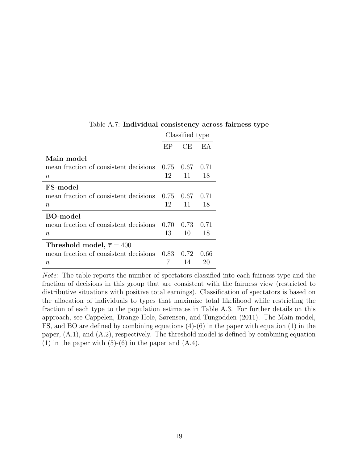|                                                   |    | Classified type |        |
|---------------------------------------------------|----|-----------------|--------|
|                                                   | EP | CE              | FA     |
| Main model                                        |    |                 |        |
| mean fraction of consistent decisions 0.75        |    | 0.67            | 0.71   |
| $\it{n}$                                          | 12 | 11              | 18     |
| FS-model                                          |    |                 |        |
| mean fraction of consistent decisions $0.75$ 0.67 |    |                 | 0.71   |
| $\it{n}$                                          | 12 | 11              | 18     |
| BO-model                                          |    |                 |        |
| mean fraction of consistent decisions 0.70        |    | 0.73            | (1.71) |
| $n\,$                                             | 13 | 10              | 18     |
| Threshold model, $\overline{\tau} = 400$          |    |                 |        |
| mean fraction of consistent decisions $0.83$ 0.72 |    |                 | 0.66   |
| $\it n$                                           |    | 14              | 20     |

Table A.7: Individual consistency across fairness type

Note: The table reports the number of spectators classified into each fairness type and the fraction of decisions in this group that are consistent with the fairness view (restricted to distributive situations with positive total earnings). Classification of spectators is based on the allocation of individuals to types that maximize total likelihood while restricting the fraction of each type to the population estimates in Table A.3. For further details on this approach, see Cappelen, Drange Hole, Sørensen, and Tungodden (2011). The Main model, FS, and BO are defined by combining equations (4)-(6) in the paper with equation (1) in the paper, (A.1), and (A.2), respectively. The threshold model is defined by combining equation (1) in the paper with  $(5)-(6)$  in the paper and  $(A.4)$ .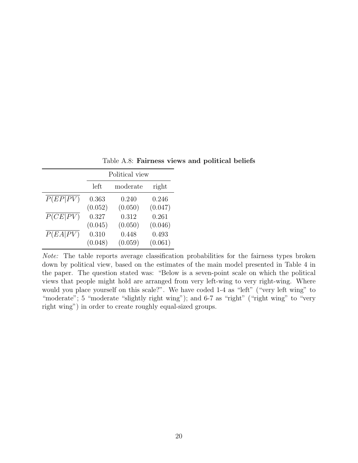|                       |         | Political view |         |
|-----------------------|---------|----------------|---------|
|                       | left    | moderate       | right   |
| $\overline{P(EP PV)}$ | 0.363   | 0.240          | 0.246   |
|                       | (0.052) | (0.050)        | (0.047) |
| $\overline{P(CE PV)}$ | 0.327   | 0.312          | 0.261   |
|                       | (0.045) | (0.050)        | (0.046) |
| $\overline{P(EA PV)}$ | 0.310   | 0.448          | 0.493   |
|                       | (0.048) | (0.059)        | (0.061) |

Table A.8: Fairness views and political beliefs

Note: The table reports average classification probabilities for the fairness types broken down by political view, based on the estimates of the main model presented in Table 4 in the paper. The question stated was: "Below is a seven-point scale on which the political views that people might hold are arranged from very left-wing to very right-wing. Where would you place yourself on this scale?". We have coded 1-4 as "left" ("very left wing" to "moderate"; 5 "moderate "slightly right wing"); and 6-7 as "right" ("right wing" to "very right wing") in order to create roughly equal-sized groups.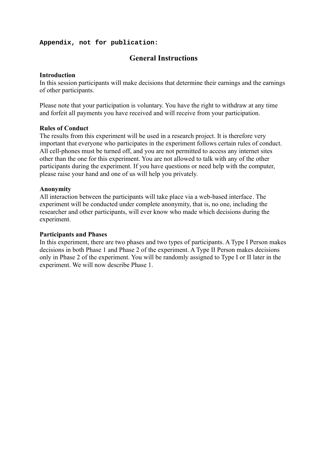#### **Appendix, not for publication:**

### **General Instructions**

#### **Introduction**

In this session participants will make decisions that determine their earnings and the earnings of other participants.

Please note that your participation is voluntary. You have the right to withdraw at any time and forfeit all payments you have received and will receive from your participation.

#### **Rules of Conduct**

The results from this experiment will be used in a research project. It is therefore very important that everyone who participates in the experiment follows certain rules of conduct. All cell-phones must be turned off, and you are not permitted to access any internet sites other than the one for this experiment. You are not allowed to talk with any of the other participants during the experiment. If you have questions or need help with the computer, please raise your hand and one of us will help you privately.

#### **Anonymity**

All interaction between the participants will take place via a web-based interface. The experiment will be conducted under complete anonymity, that is, no one, including the researcher and other participants, will ever know who made which decisions during the experiment.

#### **Participants and Phases**

In this experiment, there are two phases and two types of participants. A Type I Person makes decisions in both Phase 1 and Phase 2 of the experiment. A Type II Person makes decisions only in Phase 2 of the experiment. You will be randomly assigned to Type I or II later in the experiment. We will now describe Phase 1.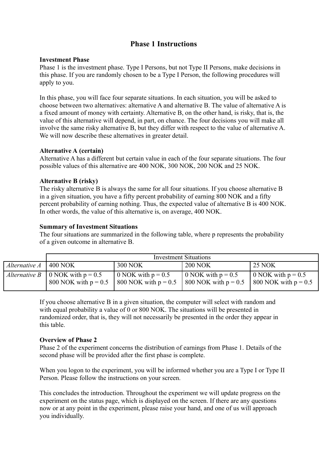### **Phase 1 Instructions**

#### **Investment Phase**

Phase 1 is the investment phase. Type I Persons, but not Type II Persons, make decisions in this phase. If you are randomly chosen to be a Type I Person, the following procedures will apply to you.

In this phase, you will face four separate situations. In each situation, you will be asked to choose between two alternatives: alternative A and alternative B. The value of alternative A is a fixed amount of money with certainty. Alternative B, on the other hand, is risky, that is, the value of this alternative will depend, in part, on chance. The four decisions you will make all involve the same risky alternative B, but they differ with respect to the value of alternative A. We will now describe these alternatives in greater detail.

#### **Alternative A (certain)**

Alternative A has a different but certain value in each of the four separate situations. The four possible values of this alternative are 400 NOK, 300 NOK, 200 NOK and 25 NOK.

#### **Alternative B (risky)**

The risky alternative B is always the same for all four situations. If you choose alternative B in a given situation, you have a fifty percent probability of earning 800 NOK and a fifty percent probability of earning nothing. Thus, the expected value of alternative B is 400 NOK. In other words, the value of this alternative is, on average, 400 NOK.

#### **Summary of Investment Situations**

The four situations are summarized in the following table, where p represents the probability of a given outcome in alternative B.

|               |                                                                       |                                                | <b>Investment Situations</b>                                   |                                                        |
|---------------|-----------------------------------------------------------------------|------------------------------------------------|----------------------------------------------------------------|--------------------------------------------------------|
| Alternative A | 400 NOK                                                               | <b>300 NOK</b>                                 | <b>200 NOK</b>                                                 | <b>25 NOK</b>                                          |
|               | <i>Alternative B</i>   0 NOK with $p = 0.5$<br>800 NOK with $p = 0.5$ | 0 NOK with $p = 0.5$<br>800 NOK with $p = 0.5$ | $\approx 0$ NOK with $p = 0.5$<br>$\vert$ 800 NOK with p = 0.5 | 0 NOK with $p = 0.5$<br>$\vert$ 800 NOK with $p = 0.5$ |

If you choose alternative B in a given situation, the computer will select with random and with equal probability a value of 0 or 800 NOK. The situations will be presented in randomized order, that is, they will not necessarily be presented in the order they appear in this table.

#### **Overview of Phase 2**

Phase 2 of the experiment concerns the distribution of earnings from Phase 1. Details of the second phase will be provided after the first phase is complete.

When you logon to the experiment, you will be informed whether you are a Type I or Type II Person. Please follow the instructions on your screen.

This concludes the introduction. Throughout the experiment we will update progress on the experiment on the status page, which is displayed on the screen. If there are any questions now or at any point in the experiment, please raise your hand, and one of us will approach you individually.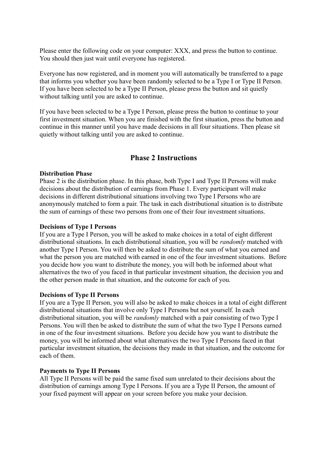Please enter the following code on your computer: XXX, and press the button to continue. You should then just wait until everyone has registered.

Everyone has now registered, and in moment you will automatically be transferred to a page that informs you whether you have been randomly selected to be a Type I or Type II Person. If you have been selected to be a Type II Person, please press the button and sit quietly without talking until you are asked to continue.

If you have been selected to be a Type I Person, please press the button to continue to your first investment situation. When you are finished with the first situation, press the button and continue in this manner until you have made decisions in all four situations. Then please sit quietly without talking until you are asked to continue.

#### **Phase 2 Instructions**

#### **Distribution Phase**

Phase 2 is the distribution phase. In this phase, both Type I and Type II Persons will make decisions about the distribution of earnings from Phase 1. Every participant will make decisions in different distributional situations involving two Type I Persons who are anonymously matched to form a pair. The task in each distributional situation is to distribute the sum of earnings of these two persons from one of their four investment situations.

#### **Decisions of Type I Persons**

If you are a Type I Person, you will be asked to make choices in a total of eight different distributional situations. In each distributional situation, you will be *randomly* matched with another Type I Person. You will then be asked to distribute the sum of what you earned and what the person you are matched with earned in one of the four investment situations. Before you decide how you want to distribute the money, you will both be informed about what alternatives the two of you faced in that particular investment situation, the decision you and the other person made in that situation, and the outcome for each of you.

#### **Decisions of Type II Persons**

If you are a Type II Person, you will also be asked to make choices in a total of eight different distributional situations that involve only Type I Persons but not yourself. In each distributional situation, you will be *randomly* matched with a pair consisting of two Type I Persons. You will then be asked to distribute the sum of what the two Type I Persons earned in one of the four investment situations. Before you decide how you want to distribute the money, you will be informed about what alternatives the two Type I Persons faced in that particular investment situation, the decisions they made in that situation, and the outcome for each of them.

#### **Payments to Type II Persons**

All Type II Persons will be paid the same fixed sum unrelated to their decisions about the distribution of earnings among Type I Persons. If you are a Type II Person, the amount of your fixed payment will appear on your screen before you make your decision.